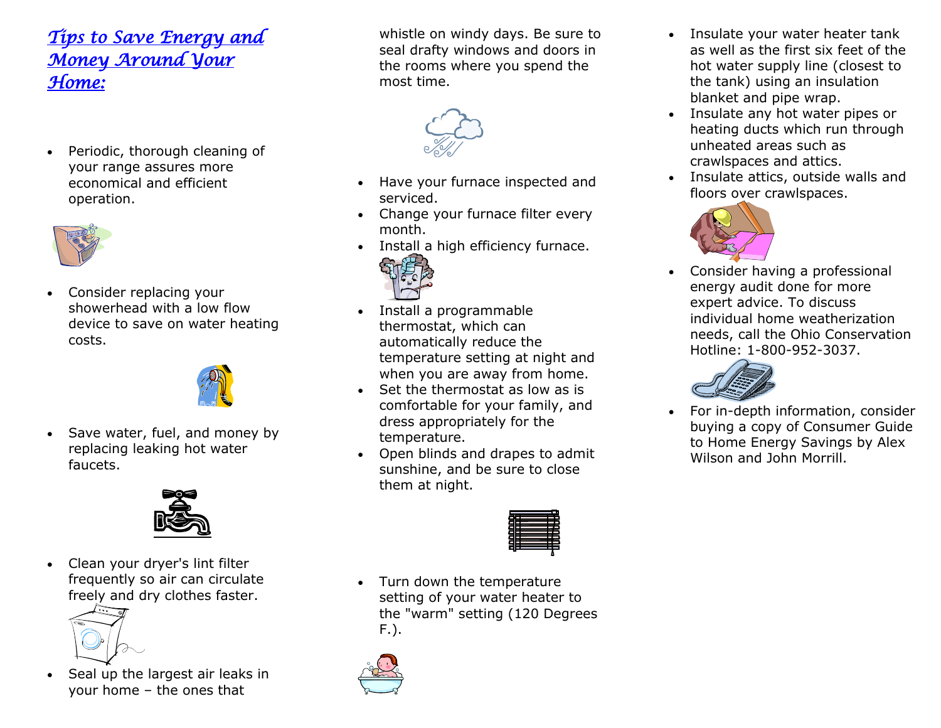## *Tips to Save Energy and Money Around Your Home:*

• Periodic, thorough cleaning of your range assures more economical and efficient operation.



• Consider replacing your showerhead with a low flow device to save on water heating costs.



Save water, fuel, and money by replacing leaking hot water faucets.



• Clean your dryer's lint filter frequently so air can circulate freely and dry clothes faster.



Seal up the largest air leaks in your home – the ones that

whistle on windy days. Be sure to seal drafty windows and doors in the rooms where you spend the most time.



- Have your furnace inspected and serviced.
- Change your furnace filter every month.
- Install a high efficiency furnace.



- Install a programmable thermostat, which can automatically reduce the temperature setting at night and when you are away from home.
- Set the thermostat as low as is comfortable for your family, and dress appropriately for the temperature.
- Open blinds and drapes to admit sunshine, and be sure to close them at night.



• Turn down the temperature setting of your water heater to the "warm" setting (120 Degrees F.).



- Insulate your water heater tank as well as the first six feet of the hot water supply line (closest to the tank) using an insulation blanket and pipe wrap.
- Insulate any hot water pipes or heating ducts which run through unheated areas such as crawlspaces and attics.
- Insulate attics, outside walls and floors over crawlspaces.



• Consider having a professional energy audit done for more expert advice. To discuss individual home weatherization needs, call the Ohio Conservation Hotline: 1-800-952-3037.



• For in-depth information, consider buying a copy of Consumer Guide to Home Energy Savings by Alex Wilson and John Morrill.